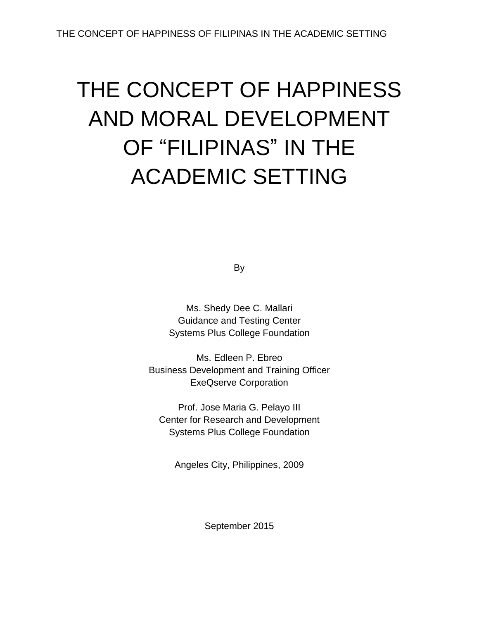# THE CONCEPT OF HAPPINESS AND MORAL DEVELOPMENT OF "FILIPINAS" IN THE ACADEMIC SETTING

By

Ms. Shedy Dee C. Mallari Guidance and Testing Center Systems Plus College Foundation

Ms. Edleen P. Ebreo Business Development and Training Officer ExeQserve Corporation

Prof. Jose Maria G. Pelayo III Center for Research and Development Systems Plus College Foundation

Angeles City, Philippines, 2009

September 2015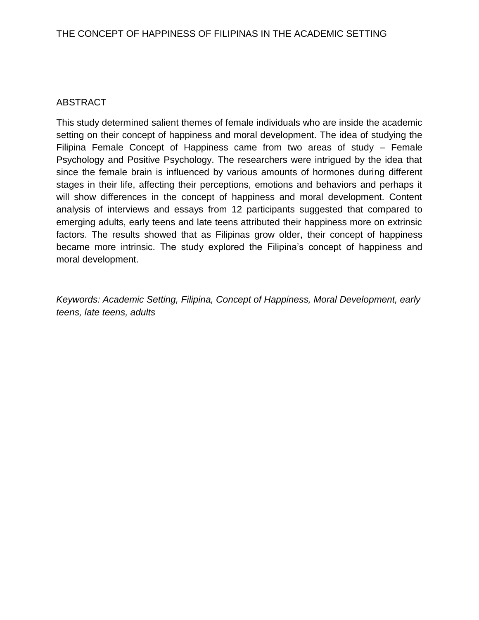## ABSTRACT

This study determined salient themes of female individuals who are inside the academic setting on their concept of happiness and moral development. The idea of studying the Filipina Female Concept of Happiness came from two areas of study – Female Psychology and Positive Psychology. The researchers were intrigued by the idea that since the female brain is influenced by various amounts of hormones during different stages in their life, affecting their perceptions, emotions and behaviors and perhaps it will show differences in the concept of happiness and moral development. Content analysis of interviews and essays from 12 participants suggested that compared to emerging adults, early teens and late teens attributed their happiness more on extrinsic factors. The results showed that as Filipinas grow older, their concept of happiness became more intrinsic. The study explored the Filipina's concept of happiness and moral development.

*Keywords: Academic Setting, Filipina, Concept of Happiness, Moral Development, early teens, late teens, adults*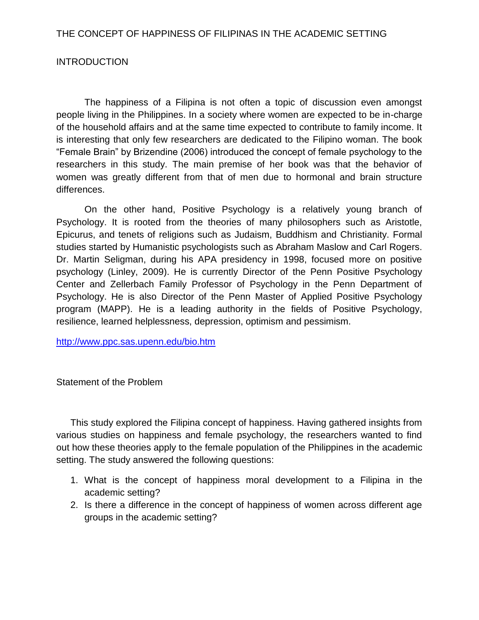### **INTRODUCTION**

The happiness of a Filipina is not often a topic of discussion even amongst people living in the Philippines. In a society where women are expected to be in-charge of the household affairs and at the same time expected to contribute to family income. It is interesting that only few researchers are dedicated to the Filipino woman. The book "Female Brain" by Brizendine (2006) introduced the concept of female psychology to the researchers in this study. The main premise of her book was that the behavior of women was greatly different from that of men due to hormonal and brain structure differences.

On the other hand, Positive Psychology is a relatively young branch of Psychology. It is rooted from the theories of many philosophers such as Aristotle, Epicurus, and tenets of religions such as Judaism, Buddhism and Christianity. Formal studies started by Humanistic psychologists such as Abraham Maslow and Carl Rogers. Dr. Martin Seligman, during his APA presidency in 1998, focused more on positive psychology (Linley, 2009). He is currently Director of the Penn Positive Psychology Center and Zellerbach Family Professor of Psychology in the Penn Department of Psychology. He is also Director of the Penn Master of Applied Positive Psychology program (MAPP). He is a leading authority in the fields of Positive Psychology, resilience, learned helplessness, depression, optimism and pessimism.

<http://www.ppc.sas.upenn.edu/bio.htm>

Statement of the Problem

This study explored the Filipina concept of happiness. Having gathered insights from various studies on happiness and female psychology, the researchers wanted to find out how these theories apply to the female population of the Philippines in the academic setting. The study answered the following questions:

- 1. What is the concept of happiness moral development to a Filipina in the academic setting?
- 2. Is there a difference in the concept of happiness of women across different age groups in the academic setting?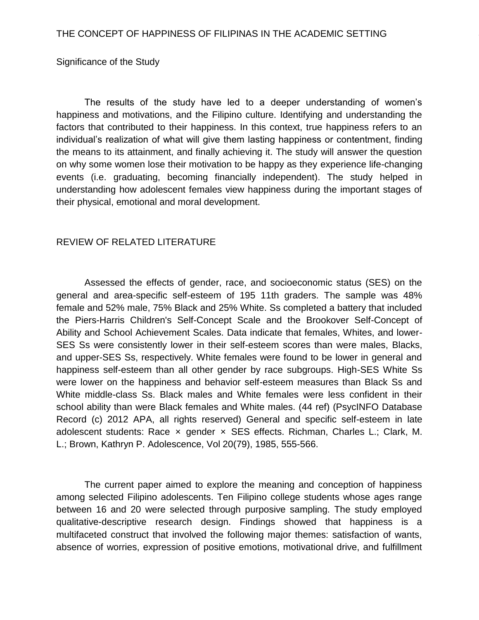#### Significance of the Study

The results of the study have led to a deeper understanding of women's happiness and motivations, and the Filipino culture. Identifying and understanding the factors that contributed to their happiness. In this context, true happiness refers to an individual's realization of what will give them lasting happiness or contentment, finding the means to its attainment, and finally achieving it. The study will answer the question on why some women lose their motivation to be happy as they experience life-changing events (i.e. graduating, becoming financially independent). The study helped in understanding how adolescent females view happiness during the important stages of their physical, emotional and moral development.

#### REVIEW OF RELATED LITERATURE

Assessed the effects of gender, race, and socioeconomic status (SES) on the general and area-specific self-esteem of 195 11th graders. The sample was 48% female and 52% male, 75% Black and 25% White. Ss completed a battery that included the Piers-Harris Children's Self-Concept Scale and the Brookover Self-Concept of Ability and School Achievement Scales. Data indicate that females, Whites, and lower-SES Ss were consistently lower in their self-esteem scores than were males, Blacks, and upper-SES Ss, respectively. White females were found to be lower in general and happiness self-esteem than all other gender by race subgroups. High-SES White Ss were lower on the happiness and behavior self-esteem measures than Black Ss and White middle-class Ss. Black males and White females were less confident in their school ability than were Black females and White males. (44 ref) (PsycINFO Database Record (c) 2012 APA, all rights reserved) General and specific self-esteem in late adolescent students: Race × gender × SES effects. Richman, Charles L.; Clark, M. L.; Brown, Kathryn P. Adolescence, Vol 20(79), 1985, 555-566.

The current paper aimed to explore the meaning and conception of happiness among selected Filipino adolescents. Ten Filipino college students whose ages range between 16 and 20 were selected through purposive sampling. The study employed qualitative-descriptive research design. Findings showed that happiness is a multifaceted construct that involved the following major themes: satisfaction of wants, absence of worries, expression of positive emotions, motivational drive, and fulfillment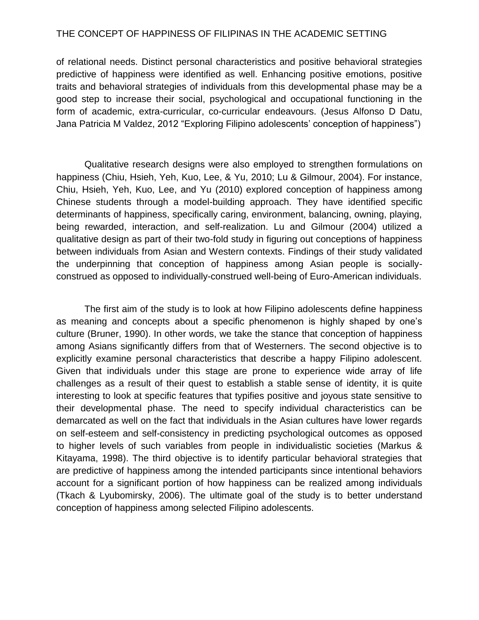of relational needs. Distinct personal characteristics and positive behavioral strategies predictive of happiness were identified as well. Enhancing positive emotions, positive traits and behavioral strategies of individuals from this developmental phase may be a good step to increase their social, psychological and occupational functioning in the form of academic, extra-curricular, co-curricular endeavours. (Jesus Alfonso D Datu, Jana Patricia M Valdez, 2012 "Exploring Filipino adolescents' conception of happiness")

Qualitative research designs were also employed to strengthen formulations on happiness (Chiu, Hsieh, Yeh, Kuo, Lee, & Yu, 2010; Lu & Gilmour, 2004). For instance, Chiu, Hsieh, Yeh, Kuo, Lee, and Yu (2010) explored conception of happiness among Chinese students through a model-building approach. They have identified specific determinants of happiness, specifically caring, environment, balancing, owning, playing, being rewarded, interaction, and self-realization. Lu and Gilmour (2004) utilized a qualitative design as part of their two-fold study in figuring out conceptions of happiness between individuals from Asian and Western contexts. Findings of their study validated the underpinning that conception of happiness among Asian people is sociallyconstrued as opposed to individually-construed well-being of Euro-American individuals.

The first aim of the study is to look at how Filipino adolescents define happiness as meaning and concepts about a specific phenomenon is highly shaped by one's culture (Bruner, 1990). In other words, we take the stance that conception of happiness among Asians significantly differs from that of Westerners. The second objective is to explicitly examine personal characteristics that describe a happy Filipino adolescent. Given that individuals under this stage are prone to experience wide array of life challenges as a result of their quest to establish a stable sense of identity, it is quite interesting to look at specific features that typifies positive and joyous state sensitive to their developmental phase. The need to specify individual characteristics can be demarcated as well on the fact that individuals in the Asian cultures have lower regards on self-esteem and self-consistency in predicting psychological outcomes as opposed to higher levels of such variables from people in individualistic societies (Markus & Kitayama, 1998). The third objective is to identify particular behavioral strategies that are predictive of happiness among the intended participants since intentional behaviors account for a significant portion of how happiness can be realized among individuals (Tkach & Lyubomirsky, 2006). The ultimate goal of the study is to better understand conception of happiness among selected Filipino adolescents.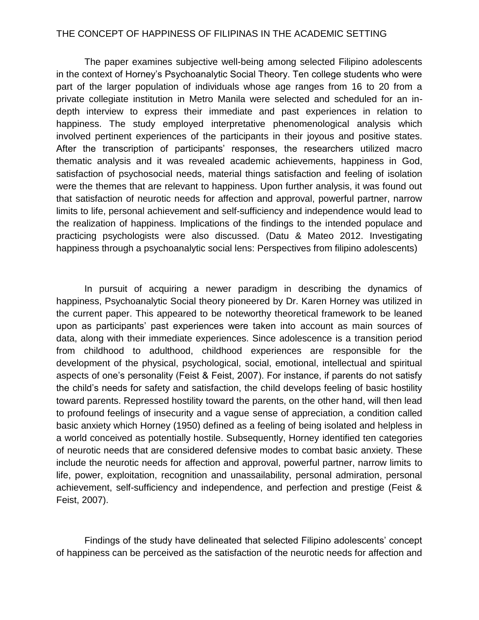The paper examines subjective well-being among selected Filipino adolescents in the context of Horney's Psychoanalytic Social Theory. Ten college students who were part of the larger population of individuals whose age ranges from 16 to 20 from a private collegiate institution in Metro Manila were selected and scheduled for an indepth interview to express their immediate and past experiences in relation to happiness. The study employed interpretative phenomenological analysis which involved pertinent experiences of the participants in their joyous and positive states. After the transcription of participants' responses, the researchers utilized macro thematic analysis and it was revealed academic achievements, happiness in God, satisfaction of psychosocial needs, material things satisfaction and feeling of isolation were the themes that are relevant to happiness. Upon further analysis, it was found out that satisfaction of neurotic needs for affection and approval, powerful partner, narrow limits to life, personal achievement and self-sufficiency and independence would lead to the realization of happiness. Implications of the findings to the intended populace and practicing psychologists were also discussed. (Datu & Mateo 2012. Investigating happiness through a psychoanalytic social lens: Perspectives from filipino adolescents)

In pursuit of acquiring a newer paradigm in describing the dynamics of happiness, Psychoanalytic Social theory pioneered by Dr. Karen Horney was utilized in the current paper. This appeared to be noteworthy theoretical framework to be leaned upon as participants' past experiences were taken into account as main sources of data, along with their immediate experiences. Since adolescence is a transition period from childhood to adulthood, childhood experiences are responsible for the development of the physical, psychological, social, emotional, intellectual and spiritual aspects of one's personality (Feist & Feist, 2007). For instance, if parents do not satisfy the child's needs for safety and satisfaction, the child develops feeling of basic hostility toward parents. Repressed hostility toward the parents, on the other hand, will then lead to profound feelings of insecurity and a vague sense of appreciation, a condition called basic anxiety which Horney (1950) defined as a feeling of being isolated and helpless in a world conceived as potentially hostile. Subsequently, Horney identified ten categories of neurotic needs that are considered defensive modes to combat basic anxiety. These include the neurotic needs for affection and approval, powerful partner, narrow limits to life, power, exploitation, recognition and unassailability, personal admiration, personal achievement, self-sufficiency and independence, and perfection and prestige (Feist & Feist, 2007).

Findings of the study have delineated that selected Filipino adolescents' concept of happiness can be perceived as the satisfaction of the neurotic needs for affection and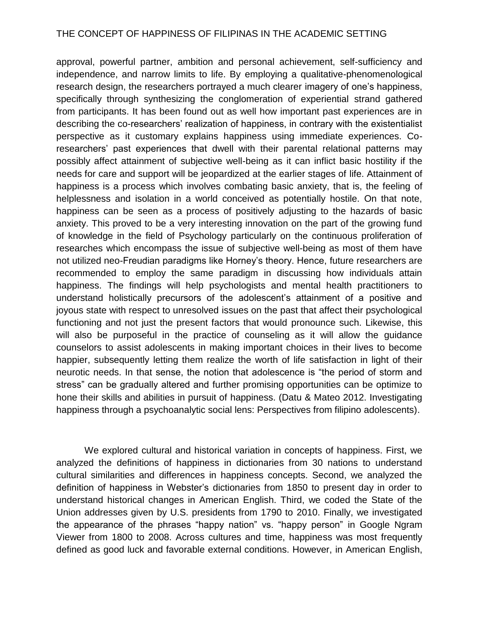approval, powerful partner, ambition and personal achievement, self-sufficiency and independence, and narrow limits to life. By employing a qualitative-phenomenological research design, the researchers portrayed a much clearer imagery of one's happiness, specifically through synthesizing the conglomeration of experiential strand gathered from participants. It has been found out as well how important past experiences are in describing the co-researchers' realization of happiness, in contrary with the existentialist perspective as it customary explains happiness using immediate experiences. Coresearchers' past experiences that dwell with their parental relational patterns may possibly affect attainment of subjective well-being as it can inflict basic hostility if the needs for care and support will be jeopardized at the earlier stages of life. Attainment of happiness is a process which involves combating basic anxiety, that is, the feeling of helplessness and isolation in a world conceived as potentially hostile. On that note, happiness can be seen as a process of positively adjusting to the hazards of basic anxiety. This proved to be a very interesting innovation on the part of the growing fund of knowledge in the field of Psychology particularly on the continuous proliferation of researches which encompass the issue of subjective well-being as most of them have not utilized neo-Freudian paradigms like Horney's theory. Hence, future researchers are recommended to employ the same paradigm in discussing how individuals attain happiness. The findings will help psychologists and mental health practitioners to understand holistically precursors of the adolescent's attainment of a positive and joyous state with respect to unresolved issues on the past that affect their psychological functioning and not just the present factors that would pronounce such. Likewise, this will also be purposeful in the practice of counseling as it will allow the guidance counselors to assist adolescents in making important choices in their lives to become happier, subsequently letting them realize the worth of life satisfaction in light of their neurotic needs. In that sense, the notion that adolescence is "the period of storm and stress" can be gradually altered and further promising opportunities can be optimize to hone their skills and abilities in pursuit of happiness. (Datu & Mateo 2012. Investigating happiness through a psychoanalytic social lens: Perspectives from filipino adolescents).

We explored cultural and historical variation in concepts of happiness. First, we analyzed the definitions of happiness in dictionaries from 30 nations to understand cultural similarities and differences in happiness concepts. Second, we analyzed the definition of happiness in Webster's dictionaries from 1850 to present day in order to understand historical changes in American English. Third, we coded the State of the Union addresses given by U.S. presidents from 1790 to 2010. Finally, we investigated the appearance of the phrases "happy nation" vs. "happy person" in Google Ngram Viewer from 1800 to 2008. Across cultures and time, happiness was most frequently defined as good luck and favorable external conditions. However, in American English,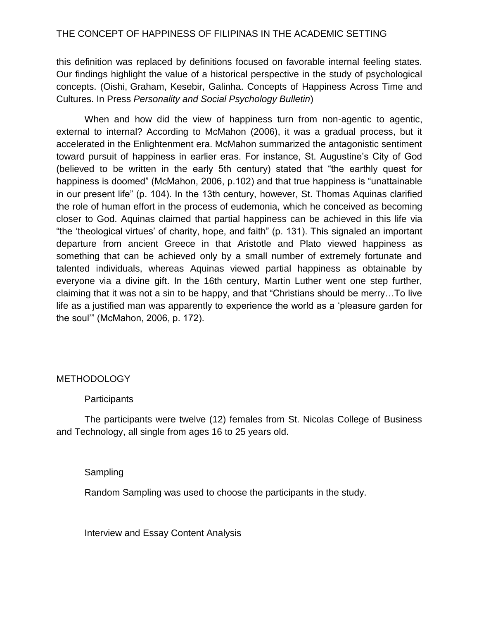this definition was replaced by definitions focused on favorable internal feeling states. Our findings highlight the value of a historical perspective in the study of psychological concepts. (Oishi, Graham, Kesebir, Galinha. Concepts of Happiness Across Time and Cultures. In Press *Personality and Social Psychology Bulletin*)

When and how did the view of happiness turn from non-agentic to agentic, external to internal? According to McMahon (2006), it was a gradual process, but it accelerated in the Enlightenment era. McMahon summarized the antagonistic sentiment toward pursuit of happiness in earlier eras. For instance, St. Augustine's City of God (believed to be written in the early 5th century) stated that "the earthly quest for happiness is doomed" (McMahon, 2006, p.102) and that true happiness is "unattainable in our present life" (p. 104). In the 13th century, however, St. Thomas Aquinas clarified the role of human effort in the process of eudemonia, which he conceived as becoming closer to God. Aquinas claimed that partial happiness can be achieved in this life via "the 'theological virtues' of charity, hope, and faith" (p. 131). This signaled an important departure from ancient Greece in that Aristotle and Plato viewed happiness as something that can be achieved only by a small number of extremely fortunate and talented individuals, whereas Aquinas viewed partial happiness as obtainable by everyone via a divine gift. In the 16th century, Martin Luther went one step further, claiming that it was not a sin to be happy, and that "Christians should be merry…To live life as a justified man was apparently to experience the world as a 'pleasure garden for the soul'" (McMahon, 2006, p. 172).

#### **METHODOLOGY**

#### **Participants**

The participants were twelve (12) females from St. Nicolas College of Business and Technology, all single from ages 16 to 25 years old.

#### Sampling

Random Sampling was used to choose the participants in the study.

Interview and Essay Content Analysis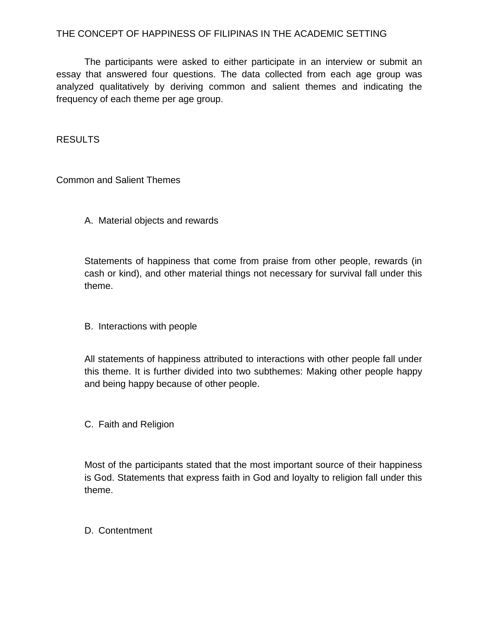The participants were asked to either participate in an interview or submit an essay that answered four questions. The data collected from each age group was analyzed qualitatively by deriving common and salient themes and indicating the frequency of each theme per age group.

RESULTS

Common and Salient Themes

A. Material objects and rewards

Statements of happiness that come from praise from other people, rewards (in cash or kind), and other material things not necessary for survival fall under this theme.

B. Interactions with people

All statements of happiness attributed to interactions with other people fall under this theme. It is further divided into two subthemes: Making other people happy and being happy because of other people.

C. Faith and Religion

Most of the participants stated that the most important source of their happiness is God. Statements that express faith in God and loyalty to religion fall under this theme.

D. Contentment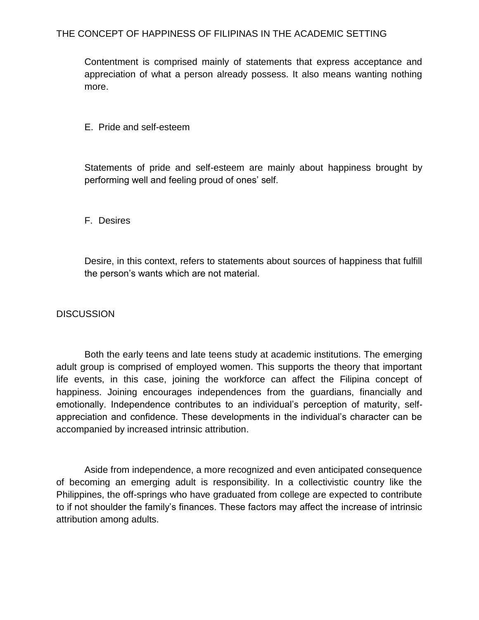Contentment is comprised mainly of statements that express acceptance and appreciation of what a person already possess. It also means wanting nothing more.

#### E. Pride and self-esteem

Statements of pride and self-esteem are mainly about happiness brought by performing well and feeling proud of ones' self.

#### F. Desires

Desire, in this context, refers to statements about sources of happiness that fulfill the person's wants which are not material.

#### **DISCUSSION**

Both the early teens and late teens study at academic institutions. The emerging adult group is comprised of employed women. This supports the theory that important life events, in this case, joining the workforce can affect the Filipina concept of happiness. Joining encourages independences from the guardians, financially and emotionally. Independence contributes to an individual's perception of maturity, selfappreciation and confidence. These developments in the individual's character can be accompanied by increased intrinsic attribution.

Aside from independence, a more recognized and even anticipated consequence of becoming an emerging adult is responsibility. In a collectivistic country like the Philippines, the off-springs who have graduated from college are expected to contribute to if not shoulder the family's finances. These factors may affect the increase of intrinsic attribution among adults.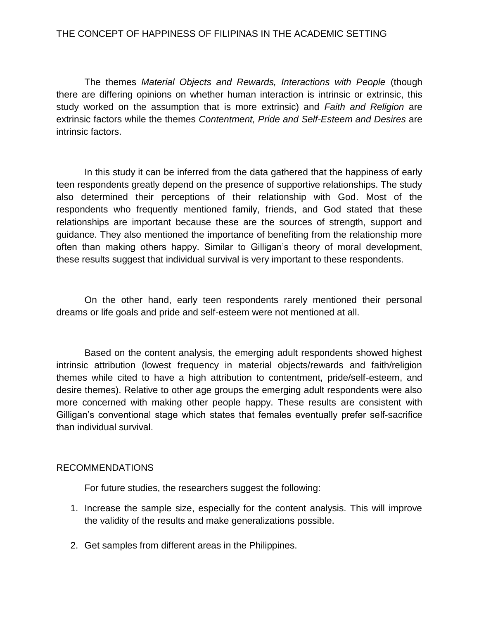The themes *Material Objects and Rewards, Interactions with People* (though there are differing opinions on whether human interaction is intrinsic or extrinsic, this study worked on the assumption that is more extrinsic) and *Faith and Religion* are extrinsic factors while the themes *Contentment, Pride and Self-Esteem and Desires* are intrinsic factors.

In this study it can be inferred from the data gathered that the happiness of early teen respondents greatly depend on the presence of supportive relationships. The study also determined their perceptions of their relationship with God. Most of the respondents who frequently mentioned family, friends, and God stated that these relationships are important because these are the sources of strength, support and guidance. They also mentioned the importance of benefiting from the relationship more often than making others happy. Similar to Gilligan's theory of moral development, these results suggest that individual survival is very important to these respondents.

On the other hand, early teen respondents rarely mentioned their personal dreams or life goals and pride and self-esteem were not mentioned at all.

Based on the content analysis, the emerging adult respondents showed highest intrinsic attribution (lowest frequency in material objects/rewards and faith/religion themes while cited to have a high attribution to contentment, pride/self-esteem, and desire themes). Relative to other age groups the emerging adult respondents were also more concerned with making other people happy. These results are consistent with Gilligan's conventional stage which states that females eventually prefer self-sacrifice than individual survival.

#### RECOMMENDATIONS

For future studies, the researchers suggest the following:

- 1. Increase the sample size, especially for the content analysis. This will improve the validity of the results and make generalizations possible.
- 2. Get samples from different areas in the Philippines.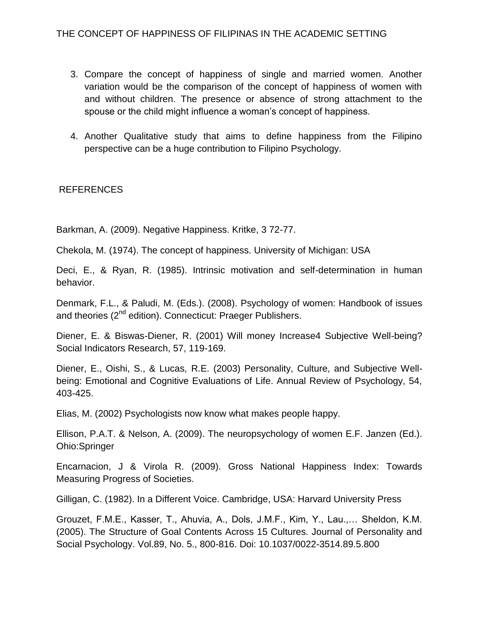- 3. Compare the concept of happiness of single and married women. Another variation would be the comparison of the concept of happiness of women with and without children. The presence or absence of strong attachment to the spouse or the child might influence a woman's concept of happiness.
- 4. Another Qualitative study that aims to define happiness from the Filipino perspective can be a huge contribution to Filipino Psychology.

## REFERENCES

Barkman, A. (2009). Negative Happiness. Kritke, 3 72-77.

Chekola, M. (1974). The concept of happiness. University of Michigan: USA

Deci, E., & Ryan, R. (1985). Intrinsic motivation and self-determination in human behavior.

Denmark, F.L., & Paludi, M. (Eds.). (2008). Psychology of women: Handbook of issues and theories (2<sup>nd</sup> edition). Connecticut: Praeger Publishers.

Diener, E. & Biswas-Diener, R. (2001) Will money Increase4 Subjective Well-being? Social Indicators Research, 57, 119-169.

Diener, E., Oishi, S., & Lucas, R.E. (2003) Personality, Culture, and Subjective Wellbeing: Emotional and Cognitive Evaluations of Life. Annual Review of Psychology, 54, 403-425.

Elias, M. (2002) Psychologists now know what makes people happy.

Ellison, P.A.T. & Nelson, A. (2009). The neuropsychology of women E.F. Janzen (Ed.). Ohio:Springer

Encarnacion, J & Virola R. (2009). Gross National Happiness Index: Towards Measuring Progress of Societies.

Gilligan, C. (1982). In a Different Voice. Cambridge, USA: Harvard University Press

Grouzet, F.M.E., Kasser, T., Ahuvia, A., Dols, J.M.F., Kim, Y., Lau.,… Sheldon, K.M. (2005). The Structure of Goal Contents Across 15 Cultures. Journal of Personality and Social Psychology. Vol.89, No. 5., 800-816. Doi: 10.1037/0022-3514.89.5.800